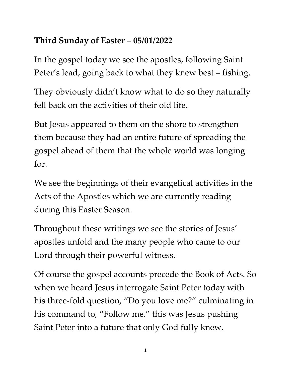## **Third Sunday of Easter – 05/01/2022**

In the gospel today we see the apostles, following Saint Peter's lead, going back to what they knew best – fishing.

They obviously didn't know what to do so they naturally fell back on the activities of their old life.

But Jesus appeared to them on the shore to strengthen them because they had an entire future of spreading the gospel ahead of them that the whole world was longing for.

We see the beginnings of their evangelical activities in the Acts of the Apostles which we are currently reading during this Easter Season.

Throughout these writings we see the stories of Jesus' apostles unfold and the many people who came to our Lord through their powerful witness.

Of course the gospel accounts precede the Book of Acts. So when we heard Jesus interrogate Saint Peter today with his three-fold question, "Do you love me?" culminating in his command to, "Follow me." this was Jesus pushing Saint Peter into a future that only God fully knew.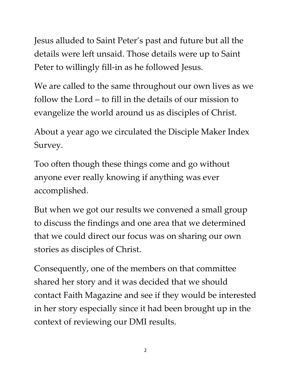Jesus alluded to Saint Peter's past and future but all the details were left unsaid. Those details were up to Saint Peter to willingly fill-in as he followed Jesus.

We are called to the same throughout our own lives as we follow the Lord – to fill in the details of our mission to evangelize the world around us as disciples of Christ.

About a year ago we circulated the Disciple Maker Index Survey.

Too often though these things come and go without anyone ever really knowing if anything was ever accomplished.

But when we got our results we convened a small group to discuss the findings and one area that we determined that we could direct our focus was on sharing our own stories as disciples of Christ.

Consequently, one of the members on that committee shared her story and it was decided that we should contact Faith Magazine and see if they would be interested in her story especially since it had been brought up in the context of reviewing our DMI results.